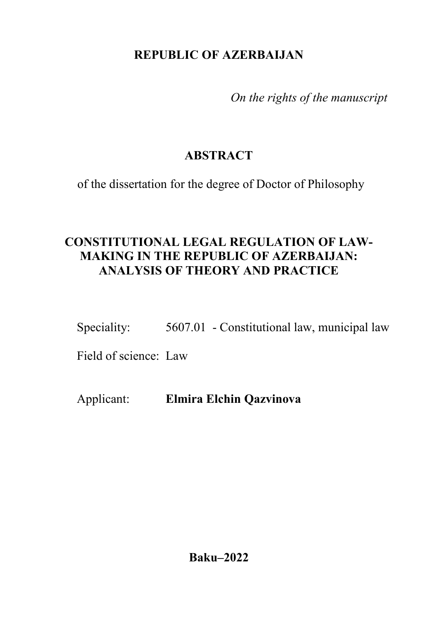## **REPUBLIC OF AZERBAIJAN**

*On the rights of the manuscript*

# **ABSTRACT**

of the dissertation for the degree of Doctor of Philosophy

## **CONSTITUTIONAL LEGAL REGULATION OF LAW-MAKING IN THE REPUBLIC OF AZERBAIJAN: ANALYSIS OF THEORY AND PRACTICE**

Speciality: 5607.01 - Constitutional law, municipal law

Field of science: Law

Applicant: **Elmira Elchin Qazvinova**

**Baku–2022**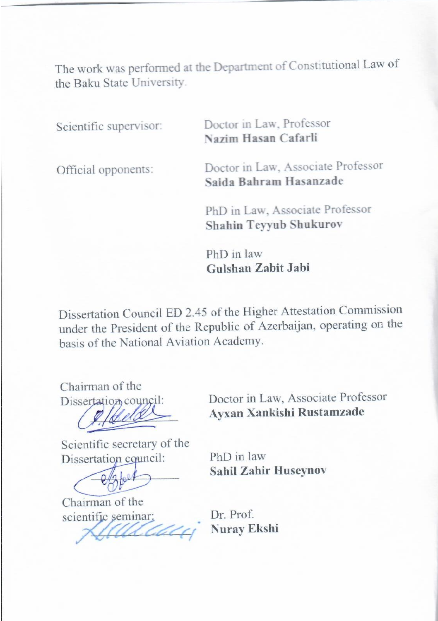The work was performed at the Department of Constitutional Law of The work was performed

Scientific supervisor:

Scientific supervisor: Doctor in Law, Professor **Doctor in Law**, Profe

Official opponents: Doctor in Law, Associate Professor **Doctor in Law, Associate** 

> PhD in Law, Associate Professor **PhD in Law, Associate Pl**

**Gulshan Zabit Jabi**

Dissertation Council ED 2.45 of the Higher Attestation Commission Dissertation Council ED 2.45 of the Higher Attestation Commission under the President of the Republic of Azerbaijan, operating on the basis of the National Aviation Academy.

Chairman of the

 $\overline{\phantom{a}}$ 

Dissertation council: Doctor in Law, Associate Professor<br> **Ayxan Xankishi Rustamzade** 

Scientific secretary of the<br>Dissertation council: PhD in law

 $C_{\text{obs}}$ 

Chairman of the scientific seminar:

Dissertation council:<br> **Sahil Zahir Huseynov**<br> **Sahil Zahir Huseynov** 

**Nuray Ekshi**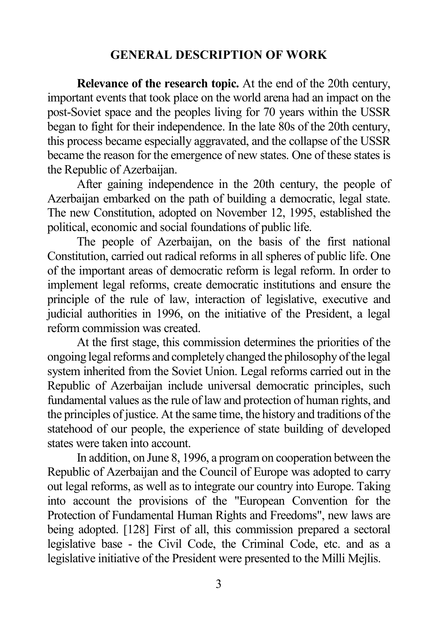### **GENERAL DESCRIPTION OF WORK**

**Relevance of the research topic.** At the end of the 20th century, important events that took place on the world arena had an impact on the post-Soviet space and the peoples living for 70 years within the USSR began to fight for their independence. In the late 80s of the 20th century, this process became especially aggravated, and the collapse of the USSR became the reason for the emergence of new states. One of these states is the Republic of Azerbaijan.

After gaining independence in the 20th century, the people of Azerbaijan embarked on the path of building a democratic, legal state. The new Constitution, adopted on November 12, 1995, established the political, economic and social foundations of public life.

The people of Azerbaijan, on the basis of the first national Constitution, carried out radical reforms in all spheres of public life. One of the important areas of democratic reform is legal reform. In order to implement legal reforms, create democratic institutions and ensure the principle of the rule of law, interaction of legislative, executive and judicial authorities in 1996, on the initiative of the President, a legal reform commission was created.

At the first stage, this commission determines the priorities of the ongoing legal reforms and completely changed the philosophy of the legal system inherited from the Soviet Union. Legal reforms carried out in the Republic of Azerbaijan include universal democratic principles, such fundamental values as the rule of law and protection of human rights, and the principles of justice. At the same time, the history and traditions of the statehood of our people, the experience of state building of developed states were taken into account.

In addition, on June 8, 1996, a program on cooperation between the Republic of Azerbaijan and the Council of Europe was adopted to carry out legal reforms, as well as to integrate our country into Europe. Taking into account the provisions of the "European Convention for the Protection of Fundamental Human Rights and Freedoms", new laws are being adopted. [128] First of all, this commission prepared a sectoral legislative base - the Civil Code, the Criminal Code, etc. and as a legislative initiative of the President were presented to the Milli Mejlis.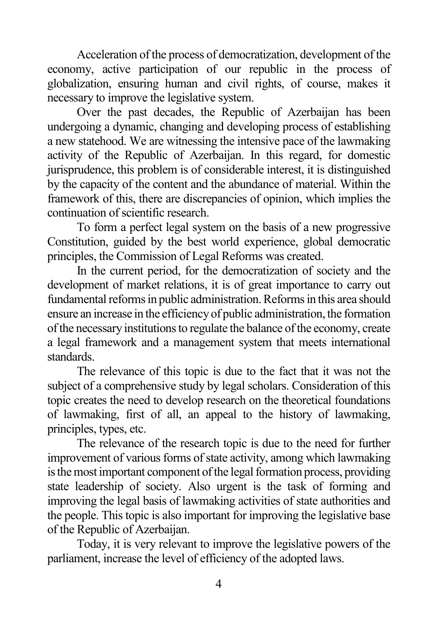Acceleration of the process of democratization, development of the economy, active participation of our republic in the process of globalization, ensuring human and civil rights, of course, makes it necessary to improve the legislative system.

Over the past decades, the Republic of Azerbaijan has been undergoing a dynamic, changing and developing process of establishing a new statehood. We are witnessing the intensive pace of the lawmaking activity of the Republic of Azerbaijan. In this regard, for domestic jurisprudence, this problem is of considerable interest, it is distinguished by the capacity of the content and the abundance of material. Within the framework of this, there are discrepancies of opinion, which implies the continuation of scientific research.

To form a perfect legal system on the basis of a new progressive Constitution, guided by the best world experience, global democratic principles, the Commission of Legal Reforms was created.

In the current period, for the democratization of society and the development of market relations, it is of great importance to carry out fundamental reforms in public administration. Reforms in this area should ensure an increase in the efficiency of public administration, the formation of the necessary institutions to regulate the balance of the economy, create a legal framework and a management system that meets international standards.

The relevance of this topic is due to the fact that it was not the subject of a comprehensive study by legal scholars. Consideration of this topic creates the need to develop research on the theoretical foundations of lawmaking, first of all, an appeal to the history of lawmaking, principles, types, etc.

The relevance of the research topic is due to the need for further improvement of various forms of state activity, among which lawmaking is the most important component of the legal formation process, providing state leadership of society. Also urgent is the task of forming and improving the legal basis of lawmaking activities of state authorities and the people. This topic is also important for improving the legislative base of the Republic of Azerbaijan.

Today, it is very relevant to improve the legislative powers of the parliament, increase the level of efficiency of the adopted laws.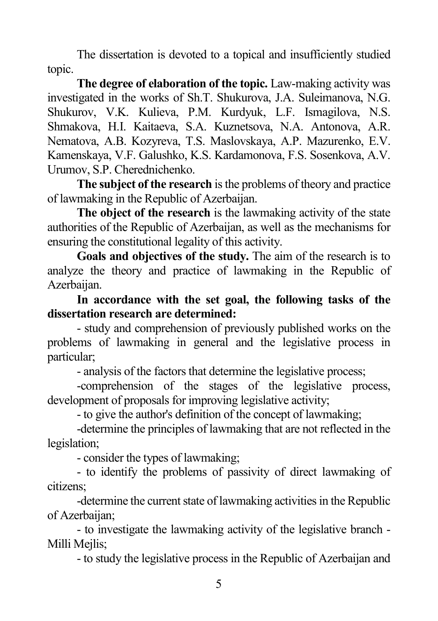The dissertation is devoted to a topical and insufficiently studied topic.

**The degree of elaboration of the topic.** Law-making activity was investigated in the works of Sh.T. Shukurova, J.A. Suleimanova, N.G. Shukurov, V.K. Kulieva, P.M. Kurdyuk, L.F. Ismagilova, N.S. Shmakova, H.I. Kaitaeva, S.A. Kuznetsova, N.A. Antonova, A.R. Nematova, A.B. Kozyreva, T.S. Maslovskaya, A.P. Mazurenko, E.V. Kamenskaya, V.F. Galushko, K.S. Kardamonova, F.S. Sosenkova, A.V. Urumov, S.P. Cherednichenko.

**The subject of the research** is the problems of theory and practice of lawmaking in the Republic of Azerbaijan.

**The object of the research** is the lawmaking activity of the state authorities of the Republic of Azerbaijan, as well as the mechanisms for ensuring the constitutional legality of this activity.

**Goals and objectives of the study.** The aim of the research is to analyze the theory and practice of lawmaking in the Republic of Azerbaijan.

**In accordance with the set goal, the following tasks of the dissertation research are determined:**

- study and comprehension of previously published works on the problems of lawmaking in general and the legislative process in particular;

- analysis of the factors that determine the legislative process;

-comprehension of the stages of the legislative process, development of proposals for improving legislative activity;

- to give the author's definition of the concept of lawmaking;

-determine the principles of lawmaking that are not reflected in the legislation;

- consider the types of lawmaking;

- to identify the problems of passivity of direct lawmaking of citizens;

-determine the current state of lawmaking activities in the Republic of Azerbaijan;

- to investigate the lawmaking activity of the legislative branch - Milli Mejlis;

- to study the legislative process in the Republic of Azerbaijan and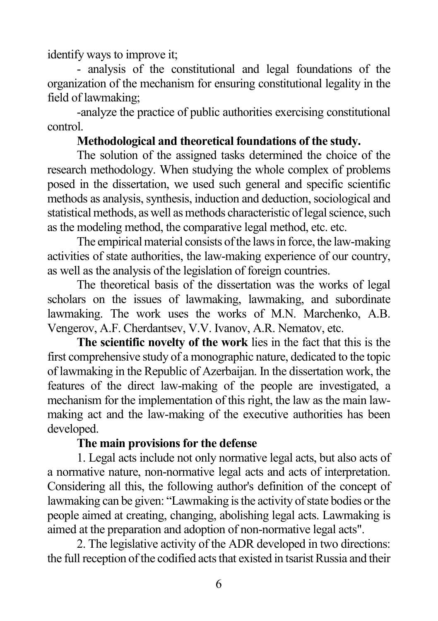identify ways to improve it;

- analysis of the constitutional and legal foundations of the organization of the mechanism for ensuring constitutional legality in the field of lawmaking;

-analyze the practice of public authorities exercising constitutional control.

#### **Methodological and theoretical foundations of the study.**

The solution of the assigned tasks determined the choice of the research methodology. When studying the whole complex of problems posed in the dissertation, we used such general and specific scientific methods as analysis, synthesis, induction and deduction, sociological and statistical methods, as well as methods characteristic of legal science, such as the modeling method, the comparative legal method, etc. etc.

The empirical material consists of the laws in force, the law-making activities of state authorities, the law-making experience of our country, as well as the analysis of the legislation of foreign countries.

The theoretical basis of the dissertation was the works of legal scholars on the issues of lawmaking, lawmaking, and subordinate lawmaking. The work uses the works of M.N. Marchenko, A.B. Vengerov, A.F. Cherdantsev, V.V. Ivanov, A.R. Nematov, etc.

**The scientific novelty of the work** lies in the fact that this is the first comprehensive study of a monographic nature, dedicated to the topic of lawmaking in the Republic of Azerbaijan. In the dissertation work, the features of the direct law-making of the people are investigated, a mechanism for the implementation of this right, the law as the main lawmaking act and the law-making of the executive authorities has been developed.

## **The main provisions for the defense**

1. Legal acts include not only normative legal acts, but also acts of a normative nature, non-normative legal acts and acts of interpretation. Considering all this, the following author's definition of the concept of lawmaking can be given: "Lawmaking is the activity of state bodies or the people aimed at creating, changing, abolishing legal acts. Lawmaking is aimed at the preparation and adoption of non-normative legal acts".

2. The legislative activity of the ADR developed in two directions: the full reception of the codified acts that existed in tsarist Russia and their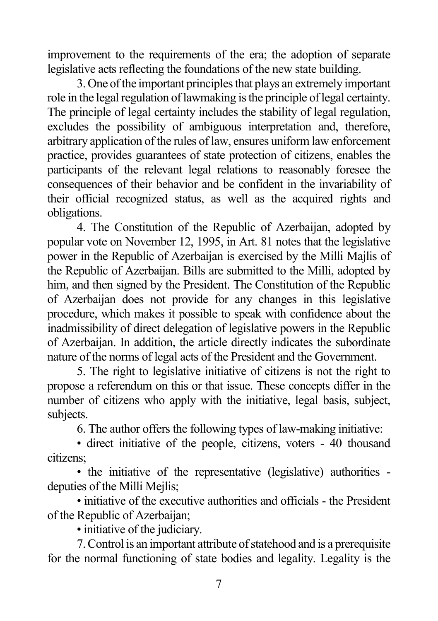improvement to the requirements of the era; the adoption of separate legislative acts reflecting the foundations of the new state building.

3. One of the important principles that plays an extremely important role in the legal regulation of lawmaking is the principle of legal certainty. The principle of legal certainty includes the stability of legal regulation, excludes the possibility of ambiguous interpretation and, therefore, arbitrary application of the rules of law, ensures uniform law enforcement practice, provides guarantees of state protection of citizens, enables the participants of the relevant legal relations to reasonably foresee the consequences of their behavior and be confident in the invariability of their official recognized status, as well as the acquired rights and obligations.

4. The Constitution of the Republic of Azerbaijan, adopted by popular vote on November 12, 1995, in Art. 81 notes that the legislative power in the Republic of Azerbaijan is exercised by the Milli Majlis of the Republic of Azerbaijan. Bills are submitted to the Milli, adopted by him, and then signed by the President. The Constitution of the Republic of Azerbaijan does not provide for any changes in this legislative procedure, which makes it possible to speak with confidence about the inadmissibility of direct delegation of legislative powers in the Republic of Azerbaijan. In addition, the article directly indicates the subordinate nature of the norms of legal acts of the President and the Government.

5. The right to legislative initiative of citizens is not the right to propose a referendum on this or that issue. These concepts differ in the number of citizens who apply with the initiative, legal basis, subject, subjects.

6. The author offers the following types of law-making initiative:

• direct initiative of the people, citizens, voters - 40 thousand citizens;

• the initiative of the representative (legislative) authorities deputies of the Milli Meilis:

• initiative of the executive authorities and officials - the President of the Republic of Azerbaijan;

• initiative of the judiciary.

7. Control is an important attribute of statehood and is a prerequisite for the normal functioning of state bodies and legality. Legality is the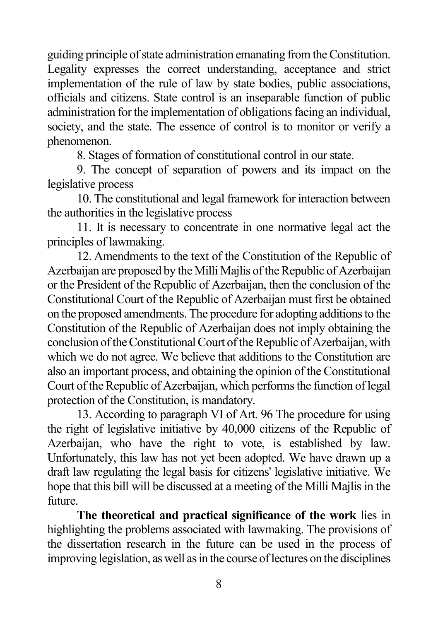guiding principle of state administration emanating from the Constitution. Legality expresses the correct understanding, acceptance and strict implementation of the rule of law by state bodies, public associations, officials and citizens. State control is an inseparable function of public administration for the implementation of obligations facing an individual, society, and the state. The essence of control is to monitor or verify a phenomenon.

8. Stages of formation of constitutional control in our state.

9. The concept of separation of powers and its impact on the legislative process

10. The constitutional and legal framework for interaction between the authorities in the legislative process

11. It is necessary to concentrate in one normative legal act the principles of lawmaking.

12. Amendments to the text of the Constitution of the Republic of Azerbaijan are proposed by the Milli Majlis of the Republic of Azerbaijan or the President of the Republic of Azerbaijan, then the conclusion of the Constitutional Court of the Republic of Azerbaijan must first be obtained on the proposed amendments. The procedure for adopting additions to the Constitution of the Republic of Azerbaijan does not imply obtaining the conclusion of the Constitutional Court of the Republic of Azerbaijan, with which we do not agree. We believe that additions to the Constitution are also an important process, and obtaining the opinion of the Constitutional Court of the Republic of Azerbaijan, which performs the function of legal protection of the Constitution, is mandatory.

13. According to paragraph VI of Art. 96 The procedure for using the right of legislative initiative by 40,000 citizens of the Republic of Azerbaijan, who have the right to vote, is established by law. Unfortunately, this law has not yet been adopted. We have drawn up a draft law regulating the legal basis for citizens' legislative initiative. We hope that this bill will be discussed at a meeting of the Milli Majlis in the future.

**The theoretical and practical significance of the work** lies in highlighting the problems associated with lawmaking. The provisions of the dissertation research in the future can be used in the process of improving legislation, as well as in the course of lectures on the disciplines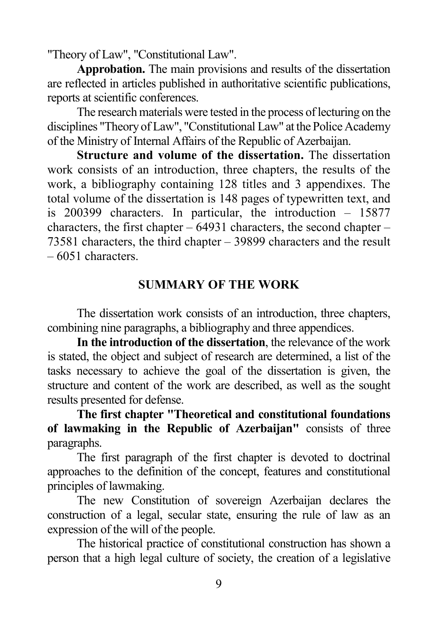"Theory of Law", "Constitutional Law".

**Approbation.** The main provisions and results of the dissertation are reflected in articles published in authoritative scientific publications, reports at scientific conferences.

The research materials were tested in the process of lecturing on the disciplines "Theory of Law", "Constitutional Law" at the Police Academy of the Ministry of Internal Affairs of the Republic of Azerbaijan.

**Structure and volume of the dissertation.** The dissertation work consists of an introduction, three chapters, the results of the work, a bibliography containing 128 titles and 3 appendixes. The total volume of the dissertation is 148 pages of typewritten text, and is 200399 characters. In particular, the introduction – 15877 characters, the first chapter  $-64931$  characters, the second chapter  $-$ 73581 characters, the third chapter – 39899 characters and the result – 6051 characters.

## **SUMMARY OF THE WORK**

The dissertation work consists of an introduction, three chapters, combining nine paragraphs, a bibliography and three appendices.

**In the introduction of the dissertation**, the relevance of the work is stated, the object and subject of research are determined, a list of the tasks necessary to achieve the goal of the dissertation is given, the structure and content of the work are described, as well as the sought results presented for defense.

**The first chapter "Theoretical and constitutional foundations of lawmaking in the Republic of Azerbaijan"** consists of three paragraphs.

The first paragraph of the first chapter is devoted to doctrinal approaches to the definition of the concept, features and constitutional principles of lawmaking.

The new Constitution of sovereign Azerbaijan declares the construction of a legal, secular state, ensuring the rule of law as an expression of the will of the people.

The historical practice of constitutional construction has shown a person that a high legal culture of society, the creation of a legislative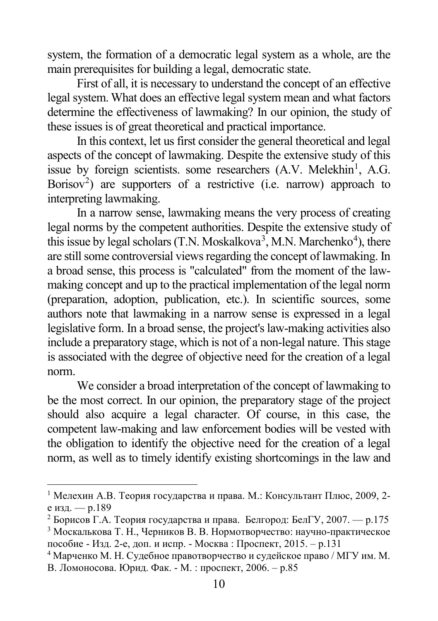system, the formation of a democratic legal system as a whole, are the main prerequisites for building a legal, democratic state.

First of all, it is necessary to understand the concept of an effective legal system. What does an effective legal system mean and what factors determine the effectiveness of lawmaking? In our opinion, the study of these issues is of great theoretical and practical importance.

In this context, let us first consider the general theoretical and legal aspects of the concept of lawmaking. Despite the extensive study of this issue by foreign scientists. some researchers (A.V. Melekhin<sup>[1](#page-9-0)</sup>, A.G. Borisov<sup>[2](#page-9-1)</sup>) are supporters of a restrictive (i.e. narrow) approach to interpreting lawmaking.

In a narrow sense, lawmaking means the very process of creating legal norms by the competent authorities. Despite the extensive study of this issue by legal scholars (T.N. Moskalkova<sup>[3](#page-9-2)</sup>, M.N. Marchenko<sup>[4](#page-9-3)</sup>), there are still some controversial views regarding the concept of lawmaking. In a broad sense, this process is "calculated" from the moment of the lawmaking concept and up to the practical implementation of the legal norm (preparation, adoption, publication, etc.). In scientific sources, some authors note that lawmaking in a narrow sense is expressed in a legal legislative form. In a broad sense, the project's law-making activities also include a preparatory stage, which is not of a non-legal nature. This stage is associated with the degree of objective need for the creation of a legal norm.

We consider a broad interpretation of the concept of lawmaking to be the most correct. In our opinion, the preparatory stage of the project should also acquire a legal character. Of course, in this case, the competent law-making and law enforcement bodies will be vested with the obligation to identify the objective need for the creation of a legal norm, as well as to timely identify existing shortcomings in the law and

<span id="page-9-0"></span><sup>&</sup>lt;sup>1</sup> Мелехин А.В. Теория государства и права. М.: Консультант Плюс, 2009, 2е изд. — p.189

<span id="page-9-2"></span><span id="page-9-1"></span><sup>&</sup>lt;sup>2</sup> Борисов Г.А. Теория государства и права. Белгород: БелГУ, 2007. — р.175 <sup>3</sup> Москалькова Т. Н., Черников В. В. Нормотворчество: научно-практическое

пособие - Изд. 2-е, доп. и испр. - Москва : Проспект, 2015. – p.131

<span id="page-9-3"></span><sup>4</sup> Марченко М. Н. Судебное правотворчество и судейское право / МГУ им. М. В. Ломоносова. Юрид. Фак. - М. : проспект, 2006. – p.85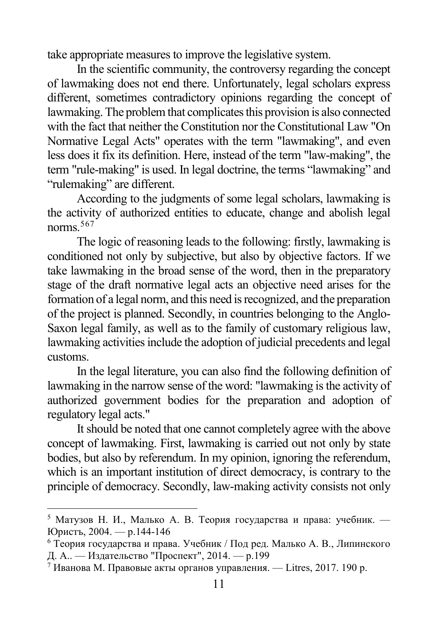take appropriate measures to improve the legislative system.

In the scientific community, the controversy regarding the concept of lawmaking does not end there. Unfortunately, legal scholars express different, sometimes contradictory opinions regarding the concept of lawmaking. The problem that complicates this provision is also connected with the fact that neither the Constitution nor the Constitutional Law "On Normative Legal Acts" operates with the term "lawmaking", and even less does it fix its definition. Here, instead of the term "law-making", the term "rule-making" is used. In legal doctrine, the terms "lawmaking" and "rulemaking" are different.

According to the judgments of some legal scholars, lawmaking is the activity of authorized entities to educate, change and abolish legal norms.[5](#page-10-0)[6](#page-10-1)[7](#page-10-2)

The logic of reasoning leads to the following: firstly, lawmaking is conditioned not only by subjective, but also by objective factors. If we take lawmaking in the broad sense of the word, then in the preparatory stage of the draft normative legal acts an objective need arises for the formation of a legal norm, and this need is recognized, and the preparation of the project is planned. Secondly, in countries belonging to the Anglo-Saxon legal family, as well as to the family of customary religious law, lawmaking activities include the adoption of judicial precedents and legal customs.

In the legal literature, you can also find the following definition of lawmaking in the narrow sense of the word: "lawmaking is the activity of authorized government bodies for the preparation and adoption of regulatory legal acts."

It should be noted that one cannot completely agree with the above concept of lawmaking. First, lawmaking is carried out not only by state bodies, but also by referendum. In my opinion, ignoring the referendum, which is an important institution of direct democracy, is contrary to the principle of democracy. Secondly, law-making activity consists not only

<span id="page-10-0"></span> $5$  Матузов Н. И., Малько А. В. Теория государства и права: учебник. — Юристъ, 2004. — p.144-146

<span id="page-10-1"></span><sup>6</sup> Теория государства и права. Учебник / Под ред. Малько А. В., Липинского Д. А.. — Издательство "Проспект", 2014. — p.199

<span id="page-10-2"></span><sup>7</sup> Иванова М. Правовые акты органов управления. — Litres, 2017. 190 p.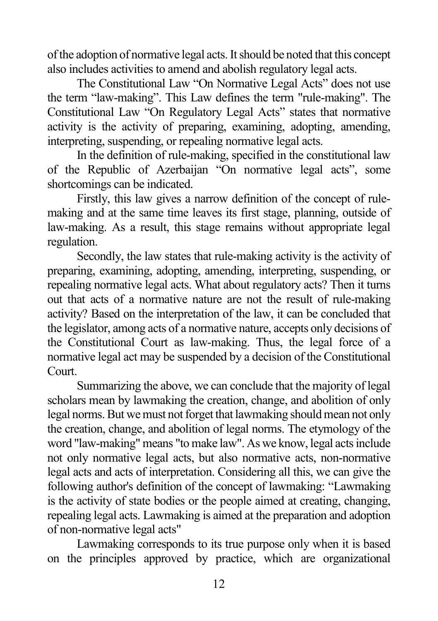of the adoption of normative legal acts. It should be noted that this concept also includes activities to amend and abolish regulatory legal acts.

The Constitutional Law "On Normative Legal Acts" does not use the term "law-making". This Law defines the term "rule-making". The Constitutional Law "On Regulatory Legal Acts" states that normative activity is the activity of preparing, examining, adopting, amending, interpreting, suspending, or repealing normative legal acts.

In the definition of rule-making, specified in the constitutional law of the Republic of Azerbaijan "On normative legal acts", some shortcomings can be indicated.

Firstly, this law gives a narrow definition of the concept of rulemaking and at the same time leaves its first stage, planning, outside of law-making. As a result, this stage remains without appropriate legal regulation.

Secondly, the law states that rule-making activity is the activity of preparing, examining, adopting, amending, interpreting, suspending, or repealing normative legal acts. What about regulatory acts? Then it turns out that acts of a normative nature are not the result of rule-making activity? Based on the interpretation of the law, it can be concluded that the legislator, among acts of a normative nature, accepts only decisions of the Constitutional Court as law-making. Thus, the legal force of a normative legal act may be suspended by a decision of the Constitutional Court.

Summarizing the above, we can conclude that the majority of legal scholars mean by lawmaking the creation, change, and abolition of only legal norms. But we must not forget that lawmaking should mean not only the creation, change, and abolition of legal norms. The etymology of the word "law-making" means "to make law". As we know, legal acts include not only normative legal acts, but also normative acts, non-normative legal acts and acts of interpretation. Considering all this, we can give the following author's definition of the concept of lawmaking: "Lawmaking is the activity of state bodies or the people aimed at creating, changing, repealing legal acts. Lawmaking is aimed at the preparation and adoption of non-normative legal acts"

Lawmaking corresponds to its true purpose only when it is based on the principles approved by practice, which are organizational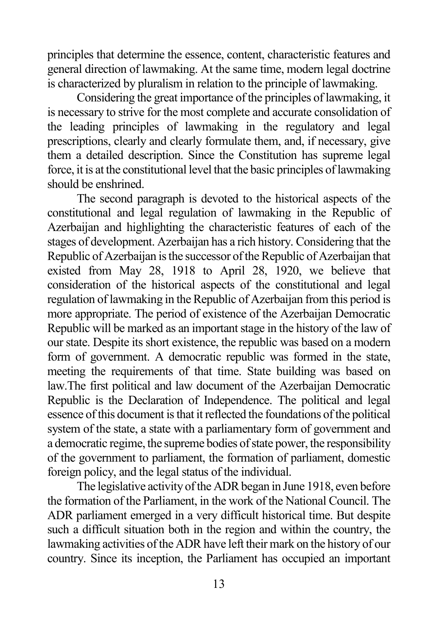principles that determine the essence, content, characteristic features and general direction of lawmaking. At the same time, modern legal doctrine is characterized by pluralism in relation to the principle of lawmaking.

Considering the great importance of the principles of lawmaking, it is necessary to strive for the most complete and accurate consolidation of the leading principles of lawmaking in the regulatory and legal prescriptions, clearly and clearly formulate them, and, if necessary, give them a detailed description. Since the Constitution has supreme legal force, it is at the constitutional level that the basic principles of lawmaking should be enshrined.

The second paragraph is devoted to the historical aspects of the constitutional and legal regulation of lawmaking in the Republic of Azerbaijan and highlighting the characteristic features of each of the stages of development. Azerbaijan has a rich history. Considering that the Republic of Azerbaijan is the successor of the Republic of Azerbaijan that existed from May 28, 1918 to April 28, 1920, we believe that consideration of the historical aspects of the constitutional and legal regulation of lawmaking in the Republic of Azerbaijan from this period is more appropriate. The period of existence of the Azerbaijan Democratic Republic will be marked as an important stage in the history of the law of our state. Despite its short existence, the republic was based on a modern form of government. A democratic republic was formed in the state, meeting the requirements of that time. State building was based on law.The first political and law document of the Azerbaijan Democratic Republic is the Declaration of Independence. The political and legal essence of this document is that it reflected the foundations of the political system of the state, a state with a parliamentary form of government and a democratic regime, the supreme bodies of state power, the responsibility of the government to parliament, the formation of parliament, domestic foreign policy, and the legal status of the individual.

The legislative activity of the ADR began in June 1918, even before the formation of the Parliament, in the work of the National Council. The ADR parliament emerged in a very difficult historical time. But despite such a difficult situation both in the region and within the country, the lawmaking activities of the ADR have left their mark on the history of our country. Since its inception, the Parliament has occupied an important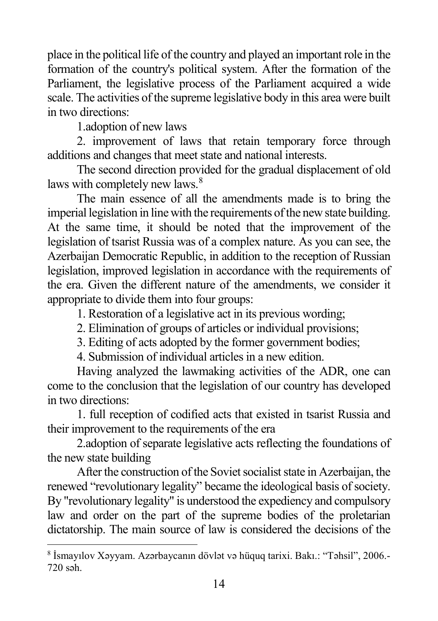place in the political life of the country and played an important role in the formation of the country's political system. After the formation of the Parliament, the legislative process of the Parliament acquired a wide scale. The activities of the supreme legislative body in this area were built in two directions:

1.adoption of new laws

2. improvement of laws that retain temporary force through additions and changes that meet state and national interests.

The second direction provided for the gradual displacement of old laws with completely new laws.<sup>[8](#page-13-0)</sup>

The main essence of all the amendments made is to bring the imperial legislation in line with the requirements of the new state building. At the same time, it should be noted that the improvement of the legislation of tsarist Russia was of a complex nature. As you can see, the Azerbaijan Democratic Republic, in addition to the reception of Russian legislation, improved legislation in accordance with the requirements of the era. Given the different nature of the amendments, we consider it appropriate to divide them into four groups:

1. Restoration of a legislative act in its previous wording;

- 2. Elimination of groups of articles or individual provisions;
- 3. Editing of acts adopted by the former government bodies;

4. Submission of individual articles in a new edition.

Having analyzed the lawmaking activities of the ADR, one can come to the conclusion that the legislation of our country has developed in two directions:

1. full reception of codified acts that existed in tsarist Russia and their improvement to the requirements of the era

2.adoption of separate legislative acts reflecting the foundations of the new state building

After the construction of the Soviet socialist state in Azerbaijan, the renewed "revolutionary legality" became the ideological basis of society. By "revolutionary legality" is understood the expediency and compulsory law and order on the part of the supreme bodies of the proletarian dictatorship. The main source of law is considered the decisions of the

<span id="page-13-0"></span> <sup>8</sup> İsmayılov Xəyyam. Azərbaycanın dövlət v<sup>ə</sup> hüquq tarixi. Bakı.: "Təhsil", 2006.- 720 səh.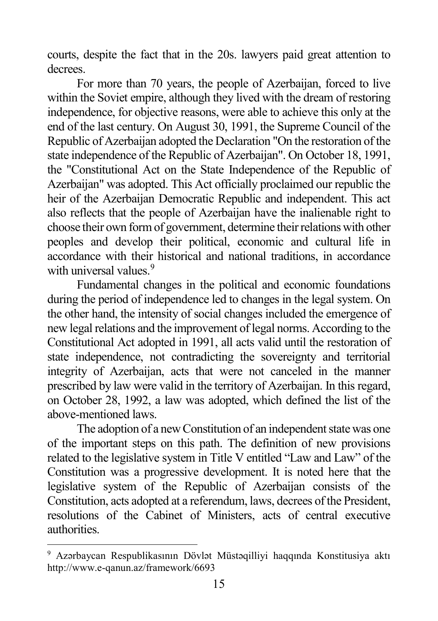courts, despite the fact that in the 20s. lawyers paid great attention to decrees.

For more than 70 years, the people of Azerbaijan, forced to live within the Soviet empire, although they lived with the dream of restoring independence, for objective reasons, were able to achieve this only at the end of the last century. On August 30, 1991, the Supreme Council of the Republic of Azerbaijan adopted the Declaration "On the restoration of the state independence of the Republic of Azerbaijan". On October 18, 1991, the "Constitutional Act on the State Independence of the Republic of Azerbaijan" was adopted. This Act officially proclaimed our republic the heir of the Azerbaijan Democratic Republic and independent. This act also reflects that the people of Azerbaijan have the inalienable right to choose their own form of government, determine their relations with other peoples and develop their political, economic and cultural life in accordance with their historical and national traditions, in accordance with universal values.<sup>[9](#page-14-0)</sup>

Fundamental changes in the political and economic foundations during the period of independence led to changes in the legal system. On the other hand, the intensity of social changes included the emergence of new legal relations and the improvement of legal norms. According to the Constitutional Act adopted in 1991, all acts valid until the restoration of state independence, not contradicting the sovereignty and territorial integrity of Azerbaijan, acts that were not canceled in the manner prescribed by law were valid in the territory of Azerbaijan. In this regard, on October 28, 1992, a law was adopted, which defined the list of the above-mentioned laws.

The adoption of a new Constitution of an independent state was one of the important steps on this path. The definition of new provisions related to the legislative system in Title V entitled "Law and Law" of the Constitution was a progressive development. It is noted here that the legislative system of the Republic of Azerbaijan consists of the Constitution, acts adopted at a referendum, laws, decrees of the President, resolutions of the Cabinet of Ministers, acts of central executive authorities.

<span id="page-14-0"></span> <sup>9</sup> Аzərbaycаn Rеspublikаsının Dövlət Müstəqilliyi haqqında Konstitusiya aktı http://www.e-qanun.az/framework/6693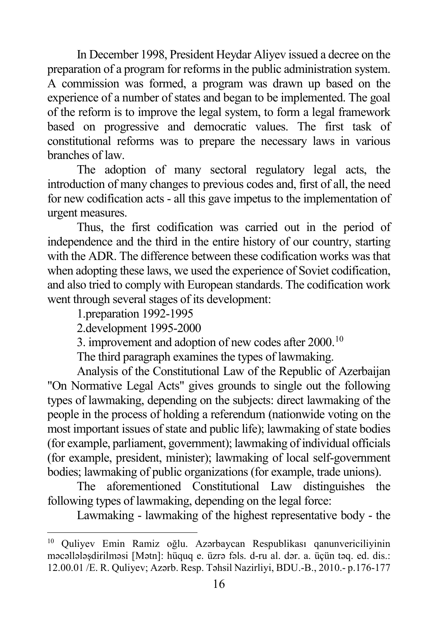In December 1998, President Heydar Aliyev issued a decree on the preparation of a program for reforms in the public administration system. A commission was formed, a program was drawn up based on the experience of a number of states and began to be implemented. The goal of the reform is to improve the legal system, to form a legal framework based on progressive and democratic values. The first task of constitutional reforms was to prepare the necessary laws in various branches of law.

The adoption of many sectoral regulatory legal acts, the introduction of many changes to previous codes and, first of all, the need for new codification acts - all this gave impetus to the implementation of urgent measures.

Thus, the first codification was carried out in the period of independence and the third in the entire history of our country, starting with the ADR. The difference between these codification works was that when adopting these laws, we used the experience of Soviet codification, and also tried to comply with European standards. The codification work went through several stages of its development:

1.preparation 1992-1995

2.development 1995-2000

3. improvement and adoption of new codes after  $2000$ .<sup>[10](#page-15-0)</sup>

The third paragraph examines the types of lawmaking.

Analysis of the Constitutional Law of the Republic of Azerbaijan "On Normative Legal Acts" gives grounds to single out the following types of lawmaking, depending on the subjects: direct lawmaking of the people in the process of holding a referendum (nationwide voting on the most important issues of state and public life); lawmaking of state bodies (for example, parliament, government); lawmaking of individual officials (for example, president, minister); lawmaking of local self-government bodies; lawmaking of public organizations (for example, trade unions).

The aforementioned Constitutional Law distinguishes the following types of lawmaking, depending on the legal force:

Lawmaking - lawmaking of the highest representative body - the

<span id="page-15-0"></span> <sup>10</sup> Quliyev Emin Ramiz oğlu. Azərbaycan Respublikası qanunvericiliyinin məcəllələşdirilməsi [Mətn]: hüquq e. üzrə fəls. d-ru al. dər. a. üçün təq. ed. dis.: 12.00.01 /E. R. Quliyev; Azərb. Resp. Təhsil Nazirliyi, BDU.-B., 2010.- p.176-177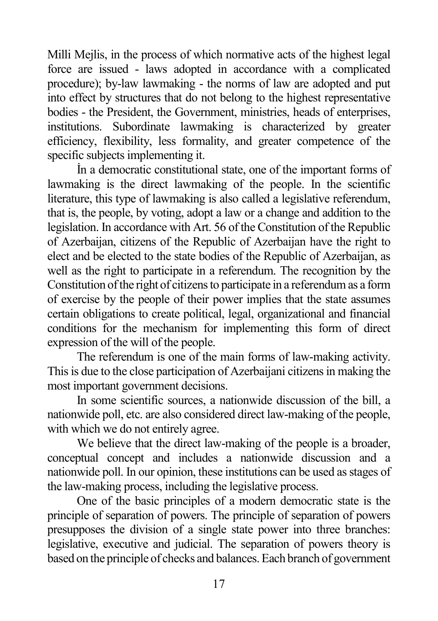Milli Mejlis, in the process of which normative acts of the highest legal force are issued - laws adopted in accordance with a complicated procedure); by-law lawmaking - the norms of law are adopted and put into effect by structures that do not belong to the highest representative bodies - the President, the Government, ministries, heads of enterprises, institutions. Subordinate lawmaking is characterized by greater efficiency, flexibility, less formality, and greater competence of the specific subjects implementing it.

İn a democratic constitutional state, one of the important forms of lawmaking is the direct lawmaking of the people. In the scientific literature, this type of lawmaking is also called a legislative referendum, that is, the people, by voting, adopt a law or a change and addition to the legislation. In accordance with Art. 56 of the Constitution of the Republic of Azerbaijan, citizens of the Republic of Azerbaijan have the right to elect and be elected to the state bodies of the Republic of Azerbaijan, as well as the right to participate in a referendum. The recognition by the Constitution of the right of citizens to participate in a referendum as a form of exercise by the people of their power implies that the state assumes certain obligations to create political, legal, organizational and financial conditions for the mechanism for implementing this form of direct expression of the will of the people.

The referendum is one of the main forms of law-making activity. This is due to the close participation of Azerbaijani citizens in making the most important government decisions.

In some scientific sources, a nationwide discussion of the bill, a nationwide poll, etc. are also considered direct law-making of the people, with which we do not entirely agree.

We believe that the direct law-making of the people is a broader, conceptual concept and includes a nationwide discussion and a nationwide poll. In our opinion, these institutions can be used as stages of the law-making process, including the legislative process.

One of the basic principles of a modern democratic state is the principle of separation of powers. The principle of separation of powers presupposes the division of a single state power into three branches: legislative, executive and judicial. The separation of powers theory is based on the principle of checks and balances. Each branch of government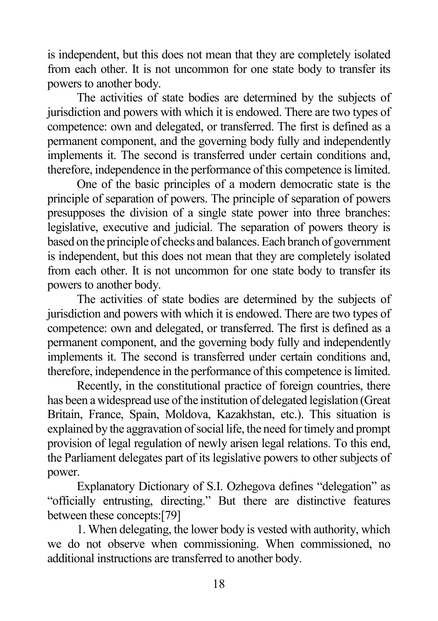is independent, but this does not mean that they are completely isolated from each other. It is not uncommon for one state body to transfer its powers to another body.

The activities of state bodies are determined by the subjects of jurisdiction and powers with which it is endowed. There are two types of competence: own and delegated, or transferred. The first is defined as a permanent component, and the governing body fully and independently implements it. The second is transferred under certain conditions and, therefore, independence in the performance of this competence is limited.

One of the basic principles of a modern democratic state is the principle of separation of powers. The principle of separation of powers presupposes the division of a single state power into three branches: legislative, executive and judicial. The separation of powers theory is based on the principle of checks and balances. Each branch of government is independent, but this does not mean that they are completely isolated from each other. It is not uncommon for one state body to transfer its powers to another body.

The activities of state bodies are determined by the subjects of jurisdiction and powers with which it is endowed. There are two types of competence: own and delegated, or transferred. The first is defined as a permanent component, and the governing body fully and independently implements it. The second is transferred under certain conditions and, therefore, independence in the performance of this competence is limited.

Recently, in the constitutional practice of foreign countries, there has been a widespread use of the institution of delegated legislation (Great Britain, France, Spain, Moldova, Kazakhstan, etc.). This situation is explained by the aggravation of social life, the need for timely and prompt provision of legal regulation of newly arisen legal relations. To this end, the Parliament delegates part of its legislative powers to other subjects of power.

Explanatory Dictionary of S.I. Ozhegova defines "delegation" as "officially entrusting, directing." But there are distinctive features between these concepts:[79]

1. When delegating, the lower body is vested with authority, which we do not observe when commissioning. When commissioned, no additional instructions are transferred to another body.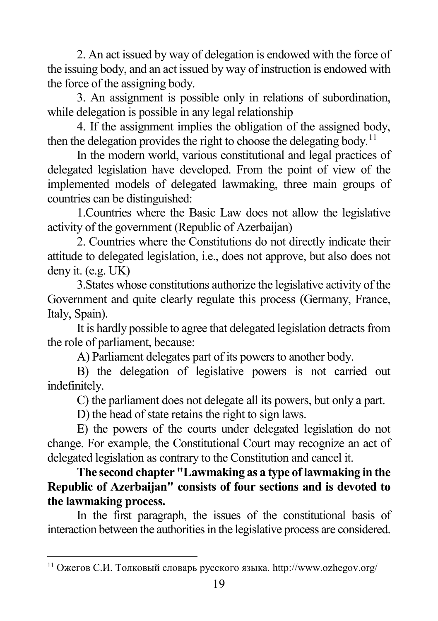2. An act issued by way of delegation is endowed with the force of the issuing body, and an act issued by way of instruction is endowed with the force of the assigning body.

3. An assignment is possible only in relations of subordination, while delegation is possible in any legal relationship

4. If the assignment implies the obligation of the assigned body, then the delegation provides the right to choose the delegating body.<sup>[11](#page-18-0)</sup>

In the modern world, various constitutional and legal practices of delegated legislation have developed. From the point of view of the implemented models of delegated lawmaking, three main groups of countries can be distinguished:

1.Countries where the Basic Law does not allow the legislative activity of the government (Republic of Azerbaijan)

2. Countries where the Constitutions do not directly indicate their attitude to delegated legislation, i.e., does not approve, but also does not deny it. (e.g. UK)

3.States whose constitutions authorize the legislative activity of the Government and quite clearly regulate this process (Germany, France, Italy, Spain).

It is hardly possible to agree that delegated legislation detracts from the role of parliament, because:

A) Parliament delegates part of its powers to another body.

B) the delegation of legislative powers is not carried out indefinitely.

C) the parliament does not delegate all its powers, but only a part.

D) the head of state retains the right to sign laws.

E) the powers of the courts under delegated legislation do not change. For example, the Constitutional Court may recognize an act of delegated legislation as contrary to the Constitution and cancel it.

**The second chapter "Lawmaking as a type of lawmaking in the Republic of Azerbaijan" consists of four sections and is devoted to the lawmaking process.**

In the first paragraph, the issues of the constitutional basis of interaction between the authorities in the legislative process are considered.

<span id="page-18-0"></span> $11$  Ожегов С.И. Толковый словарь русского языка. http://www.ozhegov.org/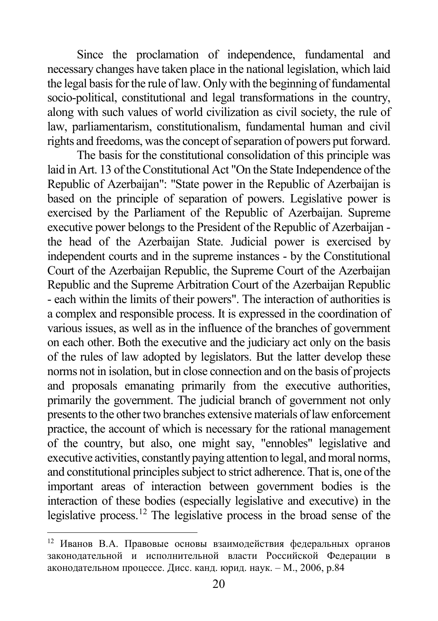Since the proclamation of independence, fundamental and necessary changes have taken place in the national legislation, which laid the legal basis for the rule of law. Only with the beginning of fundamental socio-political, constitutional and legal transformations in the country, along with such values of world civilization as civil society, the rule of law, parliamentarism, constitutionalism, fundamental human and civil rights and freedoms, was the concept of separation of powers put forward.

The basis for the constitutional consolidation of this principle was laid in Art. 13 of the Constitutional Act "On the State Independence of the Republic of Azerbaijan": "State power in the Republic of Azerbaijan is based on the principle of separation of powers. Legislative power is exercised by the Parliament of the Republic of Azerbaijan. Supreme executive power belongs to the President of the Republic of Azerbaijan the head of the Azerbaijan State. Judicial power is exercised by independent courts and in the supreme instances - by the Constitutional Court of the Azerbaijan Republic, the Supreme Court of the Azerbaijan Republic and the Supreme Arbitration Court of the Azerbaijan Republic - each within the limits of their powers". The interaction of authorities is a complex and responsible process. It is expressed in the coordination of various issues, as well as in the influence of the branches of government on each other. Both the executive and the judiciary act only on the basis of the rules of law adopted by legislators. But the latter develop these norms not in isolation, but in close connection and on the basis of projects and proposals emanating primarily from the executive authorities, primarily the government. The judicial branch of government not only presents to the other two branches extensive materials of law enforcement practice, the account of which is necessary for the rational management of the country, but also, one might say, "ennobles" legislative and executive activities, constantly paying attention to legal, and moral norms, and constitutional principles subject to strict adherence. That is, one of the important areas of interaction between government bodies is the interaction of these bodies (especially legislative and executive) in the legislative process.[12](#page-19-0) The legislative process in the broad sense of the

<span id="page-19-0"></span> <sup>12</sup> Иванов В.А. Правовые основы взаимодействия федеральных органов законодательной и исполнительной власти Российской Федерации в аконодательном процессе. Дисс. канд. юрид. наук. – М., 2006, p.84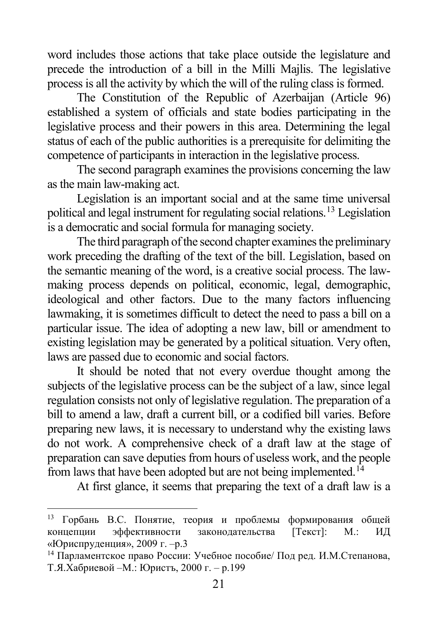word includes those actions that take place outside the legislature and precede the introduction of a bill in the Milli Majlis. The legislative process is all the activity by which the will of the ruling class is formed.

The Constitution of the Republic of Azerbaijan (Article 96) established a system of officials and state bodies participating in the legislative process and their powers in this area. Determining the legal status of each of the public authorities is a prerequisite for delimiting the competence of participants in interaction in the legislative process.

The second paragraph examines the provisions concerning the law as the main law-making act.

Legislation is an important social and at the same time universal political and legal instrument for regulating social relations.[13](#page-20-0) Legislation is a democratic and social formula for managing society.

The third paragraph of the second chapter examines the preliminary work preceding the drafting of the text of the bill. Legislation, based on the semantic meaning of the word, is a creative social process. The lawmaking process depends on political, economic, legal, demographic, ideological and other factors. Due to the many factors influencing lawmaking, it is sometimes difficult to detect the need to pass a bill on a particular issue. The idea of adopting a new law, bill or amendment to existing legislation may be generated by a political situation. Very often, laws are passed due to economic and social factors.

It should be noted that not every overdue thought among the subjects of the legislative process can be the subject of a law, since legal regulation consists not only of legislative regulation. The preparation of a bill to amend a law, draft a current bill, or a codified bill varies. Before preparing new laws, it is necessary to understand why the existing laws do not work. A comprehensive check of a draft law at the stage of preparation can save deputies from hours of useless work, and the people from laws that have been adopted but are not being implemented.<sup>[14](#page-20-1)</sup>

At first glance, it seems that preparing the text of a draft law is a

<span id="page-20-0"></span> <sup>13</sup> Горбань В.С. Понятие, теория и проблемы формирования общей концепции эффективности законодательства [Текст]: М.: ИД «Юриспруденция», 2009 г. –p.3

<span id="page-20-1"></span><sup>14</sup> Парламентское право России: Учебное пособие/ Под ред. И.М.Степанова, Т.Я.Хабриевой –М.: Юристъ, 2000 г. – p.199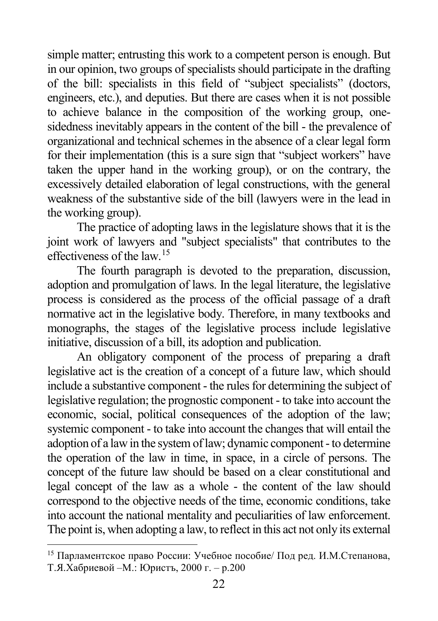simple matter; entrusting this work to a competent person is enough. But in our opinion, two groups of specialists should participate in the drafting of the bill: specialists in this field of "subject specialists" (doctors, engineers, etc.), and deputies. But there are cases when it is not possible to achieve balance in the composition of the working group, onesidedness inevitably appears in the content of the bill - the prevalence of organizational and technical schemes in the absence of a clear legal form for their implementation (this is a sure sign that "subject workers" have taken the upper hand in the working group), or on the contrary, the excessively detailed elaboration of legal constructions, with the general weakness of the substantive side of the bill (lawyers were in the lead in the working group).

The practice of adopting laws in the legislature shows that it is the joint work of lawyers and "subject specialists" that contributes to the effectiveness of the law.[15](#page-21-0)

The fourth paragraph is devoted to the preparation, discussion, adoption and promulgation of laws. In the legal literature, the legislative process is considered as the process of the official passage of a draft normative act in the legislative body. Therefore, in many textbooks and monographs, the stages of the legislative process include legislative initiative, discussion of a bill, its adoption and publication.

An obligatory component of the process of preparing a draft legislative act is the creation of a concept of a future law, which should include a substantive component - the rules for determining the subject of legislative regulation; the prognostic component - to take into account the economic, social, political consequences of the adoption of the law; systemic component - to take into account the changes that will entail the adoption of a law in the system of law; dynamic component - to determine the operation of the law in time, in space, in a circle of persons. The concept of the future law should be based on a clear constitutional and legal concept of the law as a whole - the content of the law should correspond to the objective needs of the time, economic conditions, take into account the national mentality and peculiarities of law enforcement. The point is, when adopting a law, to reflect in this act not only its external

<span id="page-21-0"></span> <sup>15</sup> Парламентское право России: Учебное пособие/ Под ред. И.М.Степанова, Т.Я.Хабриевой –М.: Юристъ, 2000 г. – p.200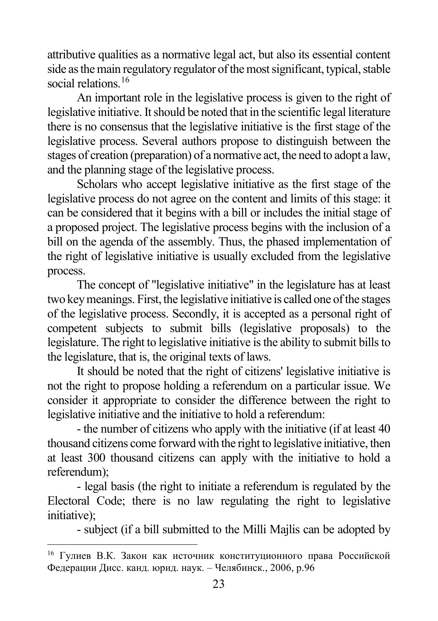attributive qualities as a normative legal act, but also its essential content side as the main regulatory regulator of the most significant, typical, stable social relations.<sup>[16](#page-22-0)</sup>

An important role in the legislative process is given to the right of legislative initiative. It should be noted that in the scientific legal literature there is no consensus that the legislative initiative is the first stage of the legislative process. Several authors propose to distinguish between the stages of creation (preparation) of a normative act, the need to adopt a law, and the planning stage of the legislative process.

Scholars who accept legislative initiative as the first stage of the legislative process do not agree on the content and limits of this stage: it can be considered that it begins with a bill or includes the initial stage of a proposed project. The legislative process begins with the inclusion of a bill on the agenda of the assembly. Thus, the phased implementation of the right of legislative initiative is usually excluded from the legislative process.

The concept of "legislative initiative" in the legislature has at least two key meanings. First, the legislative initiative is called one of the stages of the legislative process. Secondly, it is accepted as a personal right of competent subjects to submit bills (legislative proposals) to the legislature. The right to legislative initiative is the ability to submit bills to the legislature, that is, the original texts of laws.

It should be noted that the right of citizens' legislative initiative is not the right to propose holding a referendum on a particular issue. We consider it appropriate to consider the difference between the right to legislative initiative and the initiative to hold a referendum:

- the number of citizens who apply with the initiative (if at least 40 thousand citizens come forward with the right to legislative initiative, then at least 300 thousand citizens can apply with the initiative to hold a referendum);

- legal basis (the right to initiate a referendum is regulated by the Electoral Code; there is no law regulating the right to legislative initiative);

- subject (if a bill submitted to the Milli Majlis can be adopted by

<span id="page-22-0"></span> <sup>16</sup> Гулиев В.К. Закон как источник конституционного права Российской Федерации Дисс. канд. юрид. наук. – Челябинск., 2006, p.96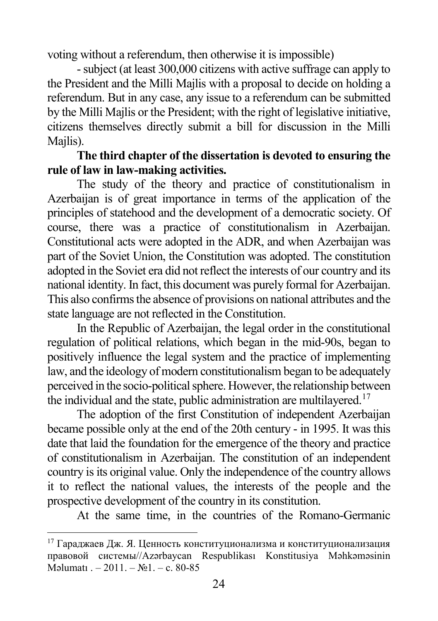voting without a referendum, then otherwise it is impossible)

-subject (at least 300,000 citizens with active suffrage can apply to the President and the Milli Majlis with a proposal to decide on holding a referendum. But in any case, any issue to a referendum can be submitted by the Milli Majlis or the President; with the right of legislative initiative, citizens themselves directly submit a bill for discussion in the Milli Mailis).

## **The third chapter of the dissertation is devoted to ensuring the rule of law in law-making activities.**

The study of the theory and practice of constitutionalism in Azerbaijan is of great importance in terms of the application of the principles of statehood and the development of a democratic society. Of course, there was a practice of constitutionalism in Azerbaijan. Constitutional acts were adopted in the ADR, and when Azerbaijan was part of the Soviet Union, the Constitution was adopted. The constitution adopted in the Soviet era did not reflect the interests of our country and its national identity. In fact, this document was purely formal for Azerbaijan. This also confirms the absence of provisions on national attributes and the state language are not reflected in the Constitution.

In the Republic of Azerbaijan, the legal order in the constitutional regulation of political relations, which began in the mid-90s, began to positively influence the legal system and the practice of implementing law, and the ideology of modern constitutionalism began to be adequately perceived in the socio-political sphere. However, the relationship between the individual and the state, public administration are multilayered.<sup>[17](#page-23-0)</sup>

The adoption of the first Constitution of independent Azerbaijan became possible only at the end of the 20th century - in 1995. It was this date that laid the foundation for the emergence of the theory and practice of constitutionalism in Azerbaijan. The constitution of an independent country is its original value. Only the independence of the country allows it to reflect the national values, the interests of the people and the prospective development of the country in its constitution.

At the same time, in the countries of the Romano-Germanic

<span id="page-23-0"></span><sup>&</sup>lt;sup>17</sup> Гараджаев Дж. Я. Ценность конституционализма и конституционализация правовой системы//Azərbaycan Respublikası Konstitusiya Məhkəməsinin Məlumatı . – 2011. – №1. – с. 80-85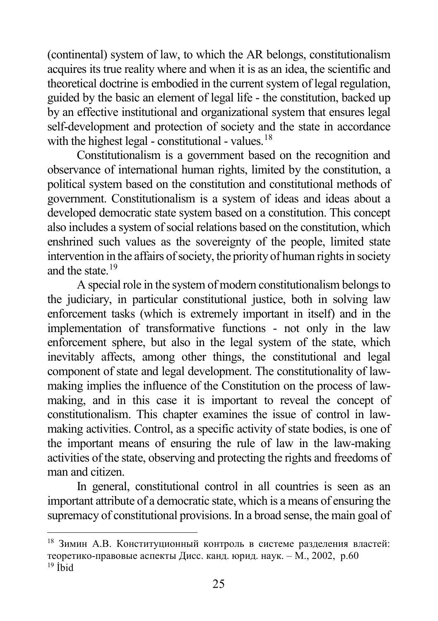(continental) system of law, to which the AR belongs, constitutionalism acquires its true reality where and when it is as an idea, the scientific and theoretical doctrine is embodied in the current system of legal regulation, guided by the basic an element of legal life - the constitution, backed up by an effective institutional and organizational system that ensures legal self-development and protection of society and the state in accordance with the highest legal - constitutional - values.<sup>[18](#page-24-0)</sup>

Constitutionalism is a government based on the recognition and observance of international human rights, limited by the constitution, a political system based on the constitution and constitutional methods of government. Constitutionalism is a system of ideas and ideas about a developed democratic state system based on a constitution. This concept also includes a system of social relations based on the constitution, which enshrined such values as the sovereignty of the people, limited state intervention in the affairs of society, the priority of human rights in society and the state.[19](#page-24-1)

A special role in the system of modern constitutionalism belongs to the judiciary, in particular constitutional justice, both in solving law enforcement tasks (which is extremely important in itself) and in the implementation of transformative functions - not only in the law enforcement sphere, but also in the legal system of the state, which inevitably affects, among other things, the constitutional and legal component of state and legal development. The constitutionality of lawmaking implies the influence of the Constitution on the process of lawmaking, and in this case it is important to reveal the concept of constitutionalism. This chapter examines the issue of control in lawmaking activities. Control, as a specific activity of state bodies, is one of the important means of ensuring the rule of law in the law-making activities of the state, observing and protecting the rights and freedoms of man and citizen.

In general, constitutional control in all countries is seen as an important attribute of a democratic state, which is a means of ensuring the supremacy of constitutional provisions. In a broad sense, the main goal of

<span id="page-24-1"></span><span id="page-24-0"></span> <sup>18</sup> Зимин А.В. Конституционный контроль в системе разделения властей: теоретико-правовые аспекты Дисс. канд. юрид. наук. – М., 2002, p.60  $19$  *İ*bid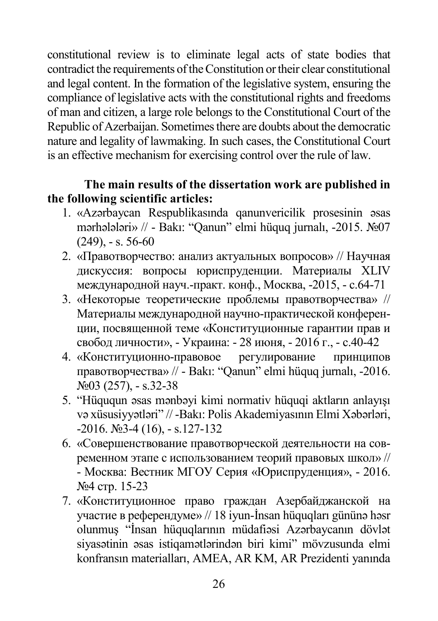constitutional review is to eliminate legal acts of state bodies that contradict the requirements of the Constitution or their clear constitutional and legal content. In the formation of the legislative system, ensuring the compliance of legislative acts with the constitutional rights and freedoms of man and citizen, a large role belongs to the Constitutional Court of the Republic of Azerbaijan. Sometimes there are doubts about the democratic nature and legality of lawmaking. In such cases, the Constitutional Court is an effective mechanism for exercising control over the rule of law.

## **The main results of the dissertation work are published in the following scientific articles:**

- 1. «Azərbaycan Respublikasında qanunvericilik prosesinin əsas mərhələləri» // - Bakı: "Qanun" elmi hüquq jurnalı, -2015. №07  $(249)$ ,  $-$ s. 56-60
- 2. «Правотворчество: анализ актуальных вопросов» // Научная дискуссия: вопросы юриспруденции. Материалы XLIV международной науч.-практ. конф., Москва, -2015, - с.64-71
- 3. «Некоторые теоретические проблемы правотворчества» // Материалы международной научно-практической конференции, посвященной теме «Конституционные гарантии прав и свобод личности», - Украина: - 28 июня, - 2016 г., - с.40-42
- 4. «Конституционно-правовое регулирование принципов правотворчества» // - Bakı: "Qanun" elmi hüquq jurnalı, -2016. №03 (257), - s.32-38
- 5. "Hüququn əsas mənbəyi kimi normativ hüquqi aktların anlayışı və xüsusiyyətləri" // -Bakı: Polis Akademiyasının Elmi Xəbərləri, -2016. №3-4 (16), - s.127-132
- 6. «Совершенствование правотворческой деятельности на современном этапе с использованием теорий правовых школ» // - Москва: Вестник МГОУ Серия «Юриспруденция», - 2016. №4 стр. 15-23
- 7. «Конституционное право граждан Азербайджанской на участие в референдуме» // 18 iyun-İnsan hüquqları gününə həsr olunmuş "İnsan hüquqlarının müdafiəsi Azərbaycanın dövlət siyasətinin əsas istiqamətlərindən biri kimi" mövzusunda elmi konfransın materialları, AMEA, AR KM, AR Prezidenti yanında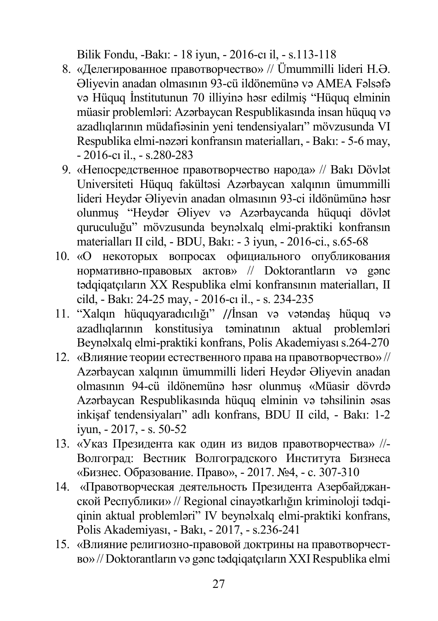Bilik Fondu, -Bakı: - 18 iyun, - 2016-cı il, - s.113-118

- 8. «Делегированное правотворчество» // Ümummilli lideri H.Ə. Əliyevin anadan olmasının 93-cü ildönemünə və AMEA Fəlsəfə və Hüquq İnstitutunun 70 illiyinə həsr edilmiş "Hüquq elminin müasir problemləri: Azərbaycan Respublikasında insan hüquq və azadlıqlarının müdafiəsinin yeni tendensiyaları" mövzusunda VI Respublika elmi-nəzəri konfransın materialları, - Bakı: - 5-6 may, - 2016-cı il., - s.280-283
- 9. «Непосредственное правотворчество народа» // Bakı Dövlət Universiteti Hüquq fakültəsi Azərbaycan xalqının ümummilli lideri Heydər Əliyevin anadan olmasının 93-ci ildönümünə həsr olunmuş "Heydər Əliyev və Azərbaycanda hüquqi dövlət quruculuğu" mövzusunda beynəlxalq elmi-praktiki konfransın materialları II cild, - BDU, Bakı: - 3 iyun, - 2016-ci., s.65-68
- 10. «О некоторых вопросах официального опубликования нормативно-правовых актов» // Doktorantların və gənc tədqiqatçıların XX Respublika elmi konfransının materialları, II cild, - Bakı: 24-25 may, - 2016-cı il., - s. 234-235
- 11. "Xalqın hüquqyaradıcılığı" //İnsan və vətəndaş hüquq və azadlıqlarının konstitusiya təminatının aktual problemləri Beynəlxalq elmi-praktiki konfrans, Polis Akademiyasıs.264-270
- 12. «Влияние теории естественного права на правотворчество» // Azərbaycan xalqının ümummilli lideri Heydər Əliyevin anadan olmasının 94-cü ildönemünə həsr olunmuş «Müasir dövrdə Azərbaycan Respublikasında hüquq elminin və təhsilinin əsas inkişaf tendensiyaları" adlı konfrans, BDU II cild, - Bakı: 1-2 iyun, - 2017, - s. 50-52
- 13. «Указ Президента как один из видов правотворчества» //- Волгоград: Вестник Волгоградского Института Бизнеса «Бизнес. Образование. Право», - 2017. №4, - с. 307-310
- 14. «Правотворческая деятельность Президента Азербайджанской Республики» // Regional cinayətkarlığın kriminoloji tədqiqinin aktual problemləri" IV beynəlxalq elmi-praktiki konfrans, Polis Akademiyası, - Bakı, - 2017, - s.236-241
- 15. «Влияние религиозно-правовой доктрины на правотворчество» // Doktorantların və gənc tədqiqatçıların XXI Respublika elmi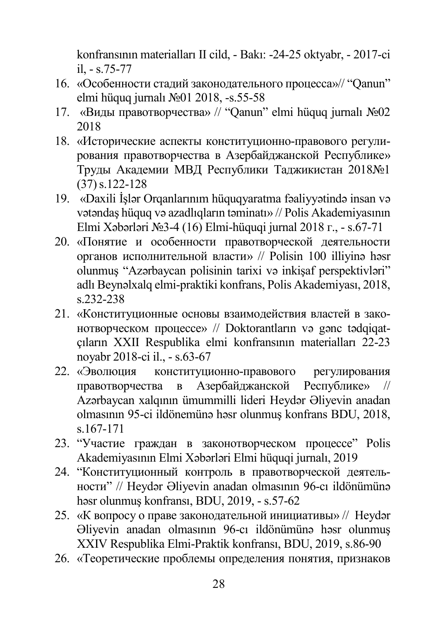konfransının materialları II cild, - Bakı: -24-25 oktyabr, - 2017-ci il, - s.75-77

- 16. «Особенности стадий законодательного процесса»// "Qanun" elmi hüquq jurnalı №01 2018, -s.55-58
- 17. «Виды правотворчества» // "Qanun" elmi hüquq jurnalı №02 2018
- 18. «Исторические аспекты конституционно-правового регулирования правотворчества в Азербайджанской Республике» Труды Академии МВД Республики Таджикистан 2018№1 (37)s.122-128
- 19. «Daxili İşlər Orqanlarınım hüquqyaratma fəaliyyətində insan və vətəndaş hüquq və azadlıqların təminatı» // Polis Akademiyasının Elmi Xəbərləri №3-4 (16) Elmi-hüquqi jurnal 2018 г., - s.67-71
- 20. «Понятие и особенности правотворческой деятельности органов исполнительной власти» // Polisin 100 illiyinə həsr olunmuş "Azərbaycan polisinin tarixi və inkişaf perspektivləri" adlı Beynəlxalq elmi-praktiki konfrans, Polis Akademiyası, 2018, s.232-238
- 21. «Конституционные основы взаимодействия властей в законотворческом процессе» // Doktorantların və gənc tədqiqatçıların XXII Respublika elmi konfransının materialları 22-23 noyabr 2018-ci il., - s.63-67
- 22. «Эволюция конституционно-правового регулирования правотворчества в Азербайджанской Республике» // Azərbaycan xalqının ümummilli lideri Heydər Əliyevin anadan olmasının 95-ci ildönemünə həsr olunmuş konfrans BDU, 2018, s.167-171
- 23. "Участие граждан в законотворческом процессе" Polis Akademiyasının Elmi Xəbərləri Elmi hüquqi jurnalı, 2019
- 24. "Конституционный контроль в правотворческой деятельности" // Heydər Əliyevin anadan olmasının 96-cı ildönümünə həsr olunmuş konfransı, BDU, 2019, - s.57-62
- 25. «К вопросу о праве законодательной инициативы» // Heydər Əliyevin anadan olmasının 96-cı ildönümünə həsr olunmuş XXIV Respublika Elmi-Praktik konfransı, BDU, 2019, s.86-90
- 26. «Теоретические проблемы определения понятия, признаков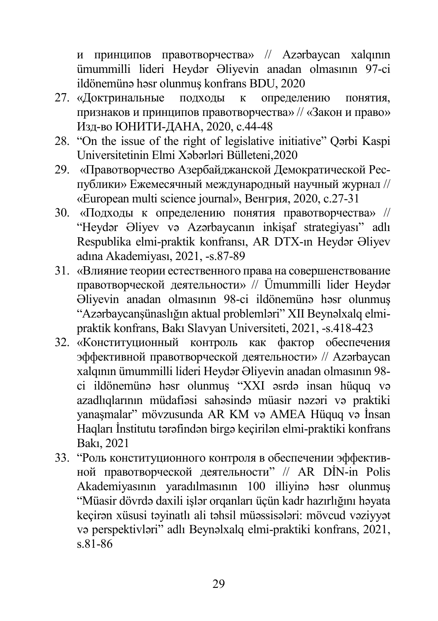и принципов правотворчества» // Azərbaycan xalqının ümummilli lideri Heydər Əliyevin anadan olmasının 97-ci ildönemünə həsr olunmuş konfrans BDU, 2020

- 27. «Доктринальные подходы к определению понятия, признаков и принципов правотворчества» // «Закон и право» Изд-во ЮНИТИ-ДАНА, 2020, c.44-48
- 28. "On the issue of the right of legislative initiative" Qərbi Kaspi Universitetinin Elmi Xəbərləri Bülleteni,2020
- 29. «Правотворчество Азербайджанской Демократической Республики» Ежемесячный международный научный журнал // «European multi science journal», Венгрия, 2020, c.27-31
- 30. «Подходы к определению понятия правотворчества» // "Heydər Əliyev və Azərbaycanın inkişaf strategiyası" adlı Respublika elmi-praktik konfransı, AR DTX-ın Heydər Əliyev adına Akademiyası, 2021, -s.87-89
- 31. «Влияние теории естественного права на совершенствование правотворческой деятельности» // Ümummilli lider Heydər Əliyevin anadan olmasının 98-ci ildönemünə həsr olunmuş "Azərbaycanşünaslığın aktual problemləri" XII Beynəlxalq elmipraktik konfrans, Bakı Slavyan Universiteti, 2021, -s.418-423
- 32. «Конституционный контроль как фактор обеспечения эффективной правотворческой деятельности» // Azərbaycan xalqının ümummilli lideri Heydər Əliyevin anadan olmasının 98 ci ildönemünə həsr olunmuş "XXI əsrdə insan hüquq və azadlıqlarının müdafiəsi sahəsində müasir nəzəri və praktiki yanaşmalar" mövzusunda AR KM və AMEA Hüquq və İnsan Haqları İnstitutu tərəfindən birgə keçirilən elmi-praktiki konfrans Bakı, 2021
- 33. "Роль конституционного контроля в обеспечении эффективной правотворческой деятельности" // AR DİN-in Polis Akademiyasının yaradılmasının 100 illiyinə həsr olunmuş "Müasir dövrdə daxili işlər orqanları üçün kadr hazırlığını həyata keçirən xüsusi təyinatlı ali təhsil müəssisələri: mövcud vəziyyət və perspektivləri" adlı Beynəlxalq elmi-praktiki konfrans, 2021, s.81-86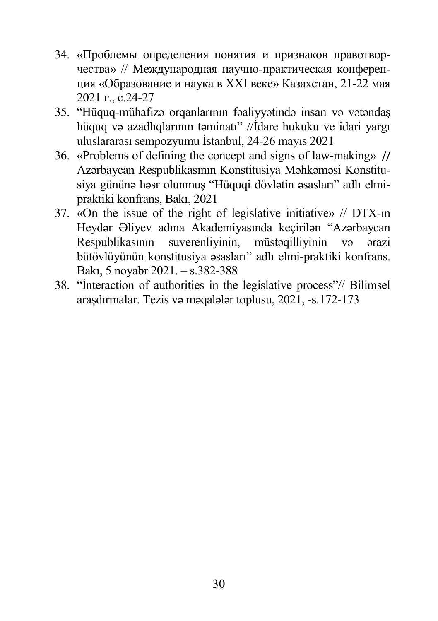- 34. «Проблемы определения понятия и признаков правотворчества» // Международная научно-практическая конференция «Образование и наука в ХХI веке» Казахстан, 21-22 мая 2021 г., c.24-27
- 35. "Hüquq-mühafizə orqanlarının fəaliyyətində insan və vətəndaş hüquq və azadlıqlarının təminatı" //İdare hukuku ve idari yargı uluslararası sempozyumu İstanbul, 24-26 mayıs 2021
- 36. «Problems of defining the concept and signs of law-making» // Azərbaycan Respublikasının Konstitusiya Məhkəməsi Konstitusiya gününə həsr olunmuş "Hüquqi dövlətin əsasları" adlı elmipraktiki konfrans, Bakı, 2021
- 37. «On the issue of the right of legislative initiative» // DTX-ın Heydər Əliyev adına Akademiyasında keçirilən "Azərbaycan Respublikasının suverenliyinin, müstəqilliyinin və ərazi bütövlüyünün konstitusiya əsasları" adlı elmi-praktiki konfrans. Bakı, 5 noyabr 2021. – s.382-388
- 38. "İnteraction of authorities in the legislative process"// Bilimsel araşdırmalar. Tezis və məqalələr toplusu, 2021, -s.172-173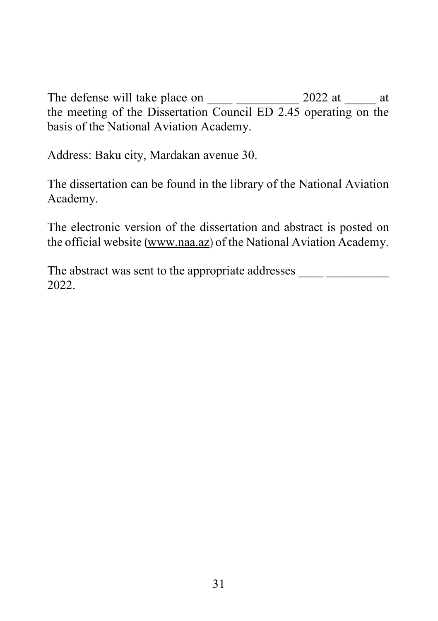The defense will take place on \_\_\_\_ \_\_\_\_\_\_\_\_\_\_ 2022 at \_\_\_\_\_ at the meeting of the Dissertation Council ED 2.45 operating on the basis of the National Aviation Academy.

Address: Baku city, Mardakan avenue 30.

The dissertation can be found in the library of the National Aviation Academy.

The electronic version of the dissertation and abstract is posted on the official website ([www.naa.az](http://www.naa.az/)) of the National Aviation Academy.

The abstract was sent to the appropriate addresses 2022.